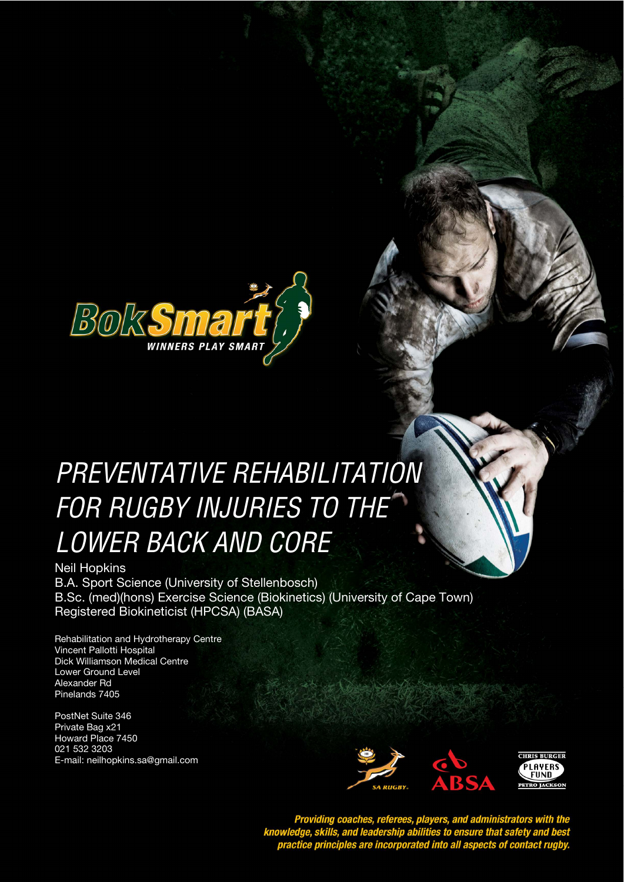

# PREVENTATIVE REHABILITATION **STYLE HEADING FOR TABLES**  FOR RUGBY INJURIES TO THE LOWER BACK AND CORE

Neil Hopkins B.A. Sport Science (University of Stellenbosch) B.Sc. (med)(hons) Exercise Science (Biokinetics) (University of Cape Town) Registered Biokineticist (HPCSA) (BASA)

Rehabilitation and Hydrotherapy Centre Vincent Pallotti Hospital Dick Williamson Medical Centre Lower Ground Level Alexander Rd Pinelands 7405

PostNet Suite 346 Private Bag x21 Howard Place 7450 021 532 3203 E-mail: neilhopkins.sa@gmail.com



Providing coaches, referees, players, and administrators with the<br>knowledge, skills, and leadership abilities to ensure that safety and best<br>practice principles are incorporated into all aspects of contact rugby.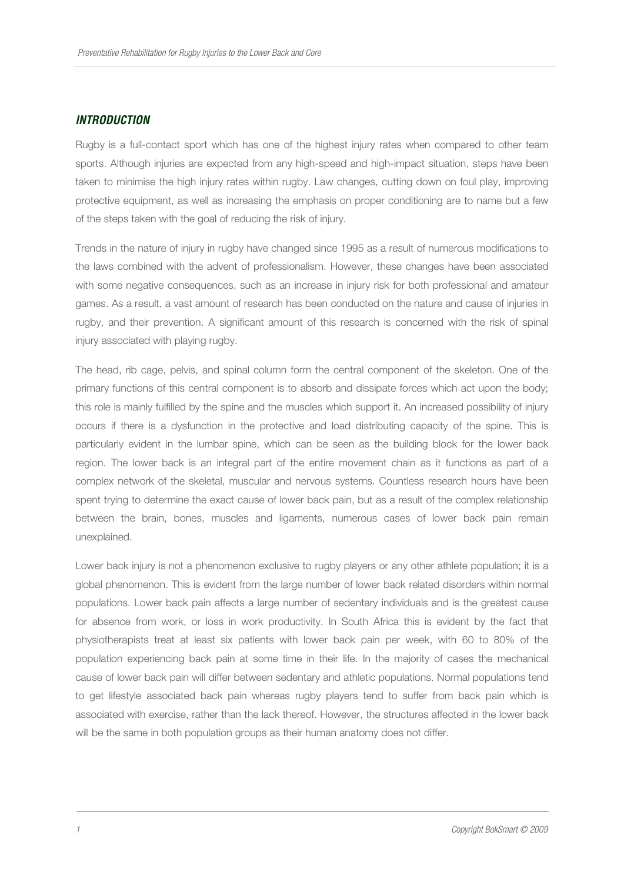### **INTRODUCTION**

Rugby is a full-contact sport which has one of the highest injury rates when compared to other team sports. Although injuries are expected from any high-speed and high-impact situation, steps have been taken to minimise the high injury rates within rugby. Law changes, cutting down on foul play, improving protective equipment, as well as increasing the emphasis on proper conditioning are to name but a few of the steps taken with the goal of reducing the risk of injury.

Trends in the nature of injury in rugby have changed since 1995 as a result of numerous modifications to the laws combined with the advent of professionalism. However, these changes have been associated with some negative consequences, such as an increase in injury risk for both professional and amateur games. As a result, a vast amount of research has been conducted on the nature and cause of injuries in rugby, and their prevention. A significant amount of this research is concerned with the risk of spinal injury associated with playing rugby.

The head, rib cage, pelvis, and spinal column form the central component of the skeleton. One of the primary functions of this central component is to absorb and dissipate forces which act upon the body; this role is mainly fulfilled by the spine and the muscles which support it. An increased possibility of injury occurs if there is a dysfunction in the protective and load distributing capacity of the spine. This is particularly evident in the lumbar spine, which can be seen as the building block for the lower back region. The lower back is an integral part of the entire movement chain as it functions as part of a complex network of the skeletal, muscular and nervous systems. Countless research hours have been spent trying to determine the exact cause of lower back pain, but as a result of the complex relationship between the brain, bones, muscles and ligaments, numerous cases of lower back pain remain unexplained.

Lower back injury is not a phenomenon exclusive to rugby players or any other athlete population; it is a global phenomenon. This is evident from the large number of lower back related disorders within normal populations. Lower back pain affects a large number of sedentary individuals and is the greatest cause for absence from work, or loss in work productivity. In South Africa this is evident by the fact that physiotherapists treat at least six patients with lower back pain per week, with 60 to 80% of the population experiencing back pain at some time in their life. In the majority of cases the mechanical cause of lower back pain will differ between sedentary and athletic populations. Normal populations tend to get lifestyle associated back pain whereas rugby players tend to suffer from back pain which is associated with exercise, rather than the lack thereof. However, the structures affected in the lower back will be the same in both population groups as their human anatomy does not differ.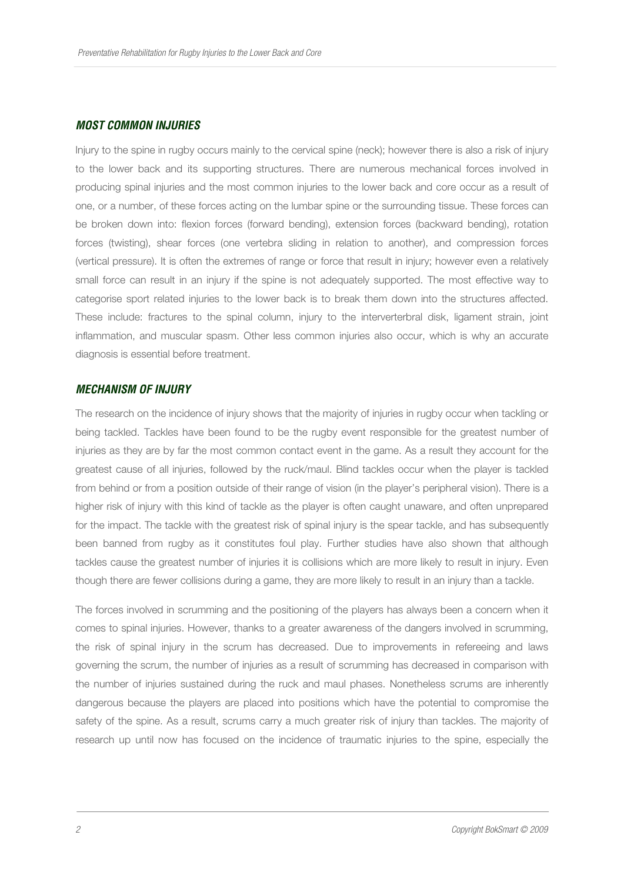# **MOST COMMON INJURIES**

Injury to the spine in rugby occurs mainly to the cervical spine (neck); however there is also a risk of injury to the lower back and its supporting structures. There are numerous mechanical forces involved in producing spinal injuries and the most common injuries to the lower back and core occur as a result of one, or a number, of these forces acting on the lumbar spine or the surrounding tissue. These forces can be broken down into: flexion forces (forward bending), extension forces (backward bending), rotation forces (twisting), shear forces (one vertebra sliding in relation to another), and compression forces (vertical pressure). It is often the extremes of range or force that result in injury; however even a relatively small force can result in an injury if the spine is not adequately supported. The most effective way to categorise sport related injuries to the lower back is to break them down into the structures affected. These include: fractures to the spinal column, injury to the interverterbral disk, ligament strain, joint inflammation, and muscular spasm. Other less common injuries also occur, which is why an accurate diagnosis is essential before treatment.

# **MECHANISM OF INJURY**

The research on the incidence of injury shows that the majority of injuries in rugby occur when tackling or being tackled. Tackles have been found to be the rugby event responsible for the greatest number of injuries as they are by far the most common contact event in the game. As a result they account for the greatest cause of all injuries, followed by the ruck/maul. Blind tackles occur when the player is tackled from behind or from a position outside of their range of vision (in the player's peripheral vision). There is a higher risk of injury with this kind of tackle as the player is often caught unaware, and often unprepared for the impact. The tackle with the greatest risk of spinal injury is the spear tackle, and has subsequently been banned from rugby as it constitutes foul play. Further studies have also shown that although tackles cause the greatest number of injuries it is collisions which are more likely to result in injury. Even though there are fewer collisions during a game, they are more likely to result in an injury than a tackle.

The forces involved in scrumming and the positioning of the players has always been a concern when it comes to spinal injuries. However, thanks to a greater awareness of the dangers involved in scrumming, the risk of spinal injury in the scrum has decreased. Due to improvements in refereeing and laws governing the scrum, the number of injuries as a result of scrumming has decreased in comparison with the number of injuries sustained during the ruck and maul phases. Nonetheless scrums are inherently dangerous because the players are placed into positions which have the potential to compromise the safety of the spine. As a result, scrums carry a much greater risk of injury than tackles. The majority of research up until now has focused on the incidence of traumatic injuries to the spine, especially the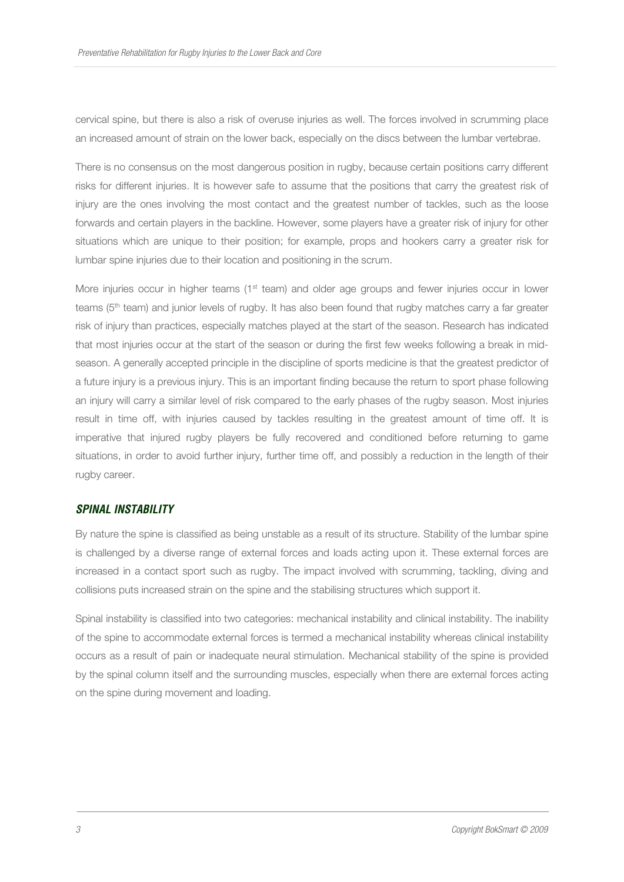cervical spine, but there is also a risk of overuse injuries as well. The forces involved in scrumming place an increased amount of strain on the lower back, especially on the discs between the lumbar vertebrae.

There is no consensus on the most dangerous position in rugby, because certain positions carry different risks for different injuries. It is however safe to assume that the positions that carry the greatest risk of injury are the ones involving the most contact and the greatest number of tackles, such as the loose forwards and certain players in the backline. However, some players have a greater risk of injury for other situations which are unique to their position; for example, props and hookers carry a greater risk for lumbar spine injuries due to their location and positioning in the scrum.

More injuries occur in higher teams ( $1<sup>st</sup>$  team) and older age groups and fewer injuries occur in lower teams (5<sup>th</sup> team) and junior levels of rugby. It has also been found that rugby matches carry a far greater risk of injury than practices, especially matches played at the start of the season. Research has indicated that most injuries occur at the start of the season or during the first few weeks following a break in midseason. A generally accepted principle in the discipline of sports medicine is that the greatest predictor of a future injury is a previous injury. This is an important finding because the return to sport phase following an injury will carry a similar level of risk compared to the early phases of the rugby season. Most injuries result in time off, with injuries caused by tackles resulting in the greatest amount of time off. It is imperative that injured rugby players be fully recovered and conditioned before returning to game situations, in order to avoid further injury, further time off, and possibly a reduction in the length of their rugby career.

#### **SPINAL INSTABILITY**

By nature the spine is classified as being unstable as a result of its structure. Stability of the lumbar spine is challenged by a diverse range of external forces and loads acting upon it. These external forces are increased in a contact sport such as rugby. The impact involved with scrumming, tackling, diving and collisions puts increased strain on the spine and the stabilising structures which support it.

Spinal instability is classified into two categories: mechanical instability and clinical instability. The inability of the spine to accommodate external forces is termed a mechanical instability whereas clinical instability occurs as a result of pain or inadequate neural stimulation. Mechanical stability of the spine is provided by the spinal column itself and the surrounding muscles, especially when there are external forces acting on the spine during movement and loading.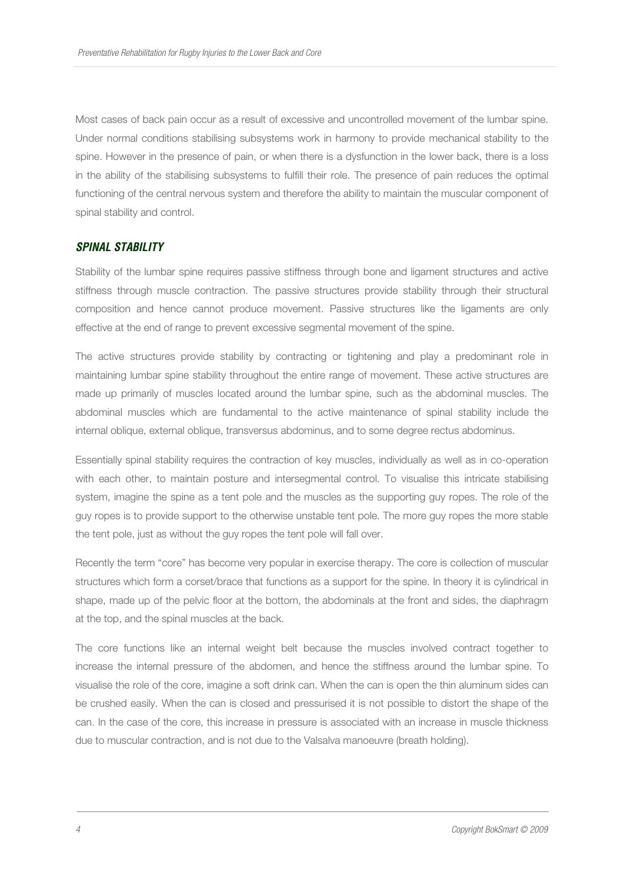Most cases of back pain occur as a result of excessive and uncontrolled movement of the lumbar spine. Under normal conditions stabilising subsystems work in harmony to provide mechanical stability to the spine. However in the presence of pain, or when there is a dysfunction in the lower back, there is a loss in the ability of the stabilising subsystems to fulfill their role. The presence of pain reduces the optimal functioning of the central nervous system and therefore the ability to maintain the muscular component of spinal stability and control.

## **SPINAL STABILITY**

Stability of the lumbar spine requires passive stiffness through bone and ligament structures and active stiffness through muscle contraction. The passive structures provide stability through their structural composition and hence cannot produce movement. Passive structures like the ligaments are only effective at the end of range to prevent excessive segmental movement of the spine.

The active structures provide stability by contracting or tightening and play a predominant role in maintaining lumbar spine stability throughout the entire range of movement. These active structures are made up primarily of muscles located around the lumbar spine, such as the abdominal muscles. The abdominal muscles which are fundamental to the active maintenance of spinal stability include the internal oblique, external oblique, transversus abdominus, and to some degree rectus abdominus.

Essentially spinal stability requires the contraction of key muscles, individually as well as in co-operation with each other, to maintain posture and intersegmental control. To visualise this intricate stabilising system, imagine the spine as a tent pole and the muscles as the supporting guy ropes. The role of the guy ropes is to provide support to the otherwise unstable tent pole. The more guy ropes the more stable the tent pole, just as without the guy ropes the tent pole will fall over.

Recently the term "core" has become very popular in exercise therapy. The core is collection of muscular structures which form a corset/brace that functions as a support for the spine. In theory it is cylindrical in shape, made up of the pelvic floor at the bottom, the abdominals at the front and sides, the diaphragm at the top, and the spinal muscles at the back.

The core functions like an internal weight belt because the muscles involved contract together to increase the internal pressure of the abdomen, and hence the stiffness around the lumbar spine. To visualise the role of the core, imagine a soft drink can. When the can is open the thin aluminum sides can be crushed easily. When the can is closed and pressurised it is not possible to distort the shape of the can. In the case of the core, this increase in pressure is associated with an increase in muscle thickness due to muscular contraction, and is not due to the Valsalva manoeuvre (breath holding).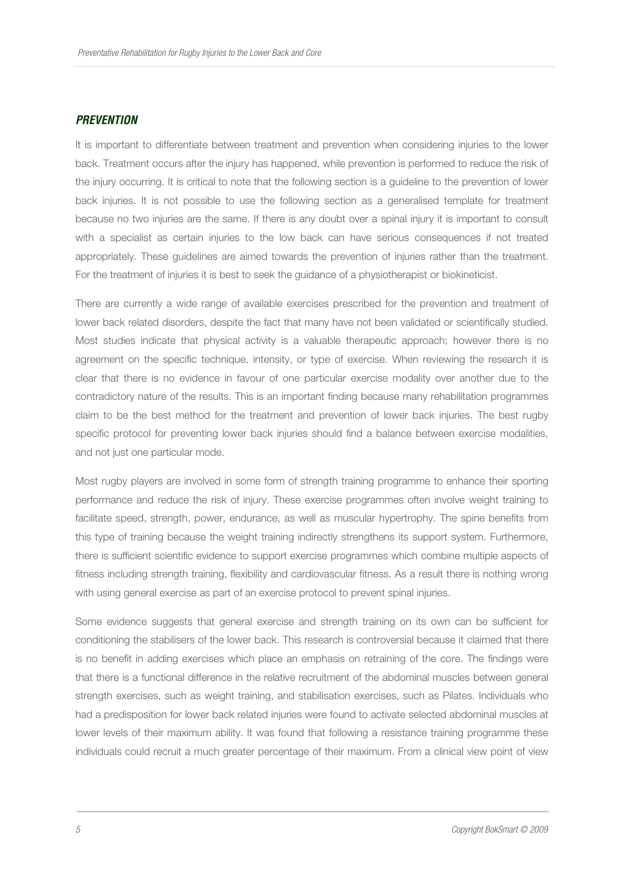#### **PREVENTION**

It is important to differentiate between treatment and prevention when considering injuries to the lower back. Treatment occurs after the injury has happened, while prevention is performed to reduce the risk of the injury occurring. It is critical to note that the following section is a guideline to the prevention of lower back injuries. It is not possible to use the following section as a generalised template for treatment because no two injuries are the same. If there is any doubt over a spinal injury it is important to consult with a specialist as certain injuries to the low back can have serious consequences if not treated appropriately. These guidelines are aimed towards the prevention of injuries rather than the treatment. For the treatment of injuries it is best to seek the guidance of a physiotherapist or biokineticist.

There are currently a wide range of available exercises prescribed for the prevention and treatment of lower back related disorders, despite the fact that many have not been validated or scientifically studied. Most studies indicate that physical activity is a valuable therapeutic approach; however there is no agreement on the specific technique, intensity, or type of exercise. When reviewing the research it is clear that there is no evidence in favour of one particular exercise modality over another due to the contradictory nature of the results. This is an important finding because many rehabilitation programmes claim to be the best method for the treatment and prevention of lower back injuries. The best rugby specific protocol for preventing lower back injuries should find a balance between exercise modalities, and not just one particular mode.

Most rugby players are involved in some form of strength training programme to enhance their sporting performance and reduce the risk of injury. These exercise programmes often involve weight training to facilitate speed, strength, power, endurance, as well as muscular hypertrophy. The spine benefits from this type of training because the weight training indirectly strengthens its support system. Furthermore, there is sufficient scientific evidence to support exercise programmes which combine multiple aspects of fitness including strength training, flexibility and cardiovascular fitness. As a result there is nothing wrong with using general exercise as part of an exercise protocol to prevent spinal injuries.

Some evidence suggests that general exercise and strength training on its own can be sufficient for conditioning the stabilisers of the lower back. This research is controversial because it claimed that there is no benefit in adding exercises which place an emphasis on retraining of the core. The findings were that there is a functional difference in the relative recruitment of the abdominal muscles between general strength exercises, such as weight training, and stabilisation exercises, such as Pilates. Individuals who had a predisposition for lower back related injuries were found to activate selected abdominal muscles at lower levels of their maximum ability. It was found that following a resistance training programme these individuals could recruit a much greater percentage of their maximum. From a clinical view point of view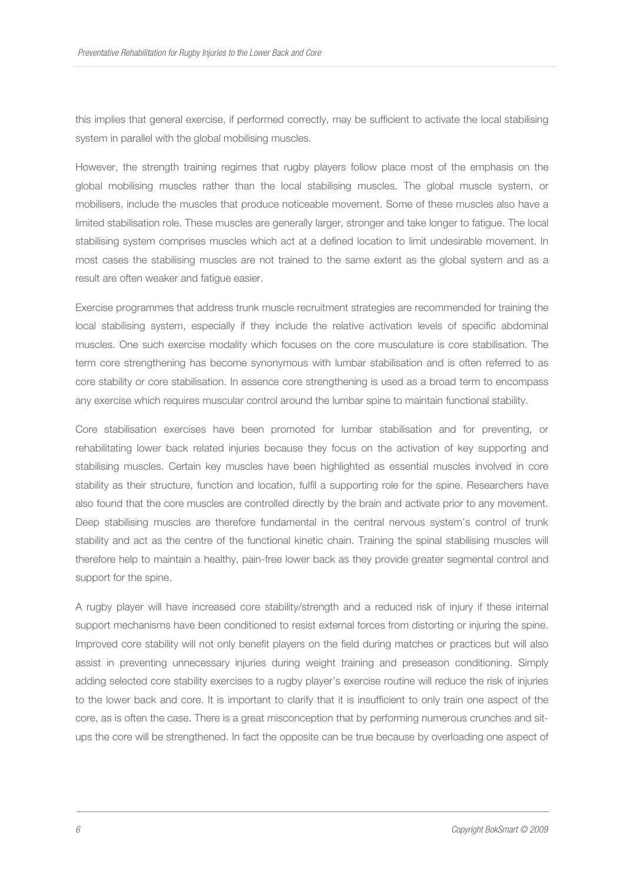this implies that general exercise, if performed correctly, may be sufficient to activate the local stabilising system in parallel with the global mobilising muscles.

However, the strength training regimes that rugby players follow place most of the emphasis on the global mobilising muscles rather than the local stabilising muscles. The global muscle system, or mobilisers, include the muscles that produce noticeable movement. Some of these muscles also have a limited stabilisation role. These muscles are generally larger, stronger and take longer to fatigue. The local stabilising system comprises muscles which act at a defined location to limit undesirable movement. In most cases the stabilising muscles are not trained to the same extent as the global system and as a result are often weaker and fatigue easier.

Exercise programmes that address trunk muscle recruitment strategies are recommended for training the local stabilising system, especially if they include the relative activation levels of specific abdominal muscles. One such exercise modality which focuses on the core musculature is core stabilisation. The term core strengthening has become synonymous with lumbar stabilisation and is often referred to as core stability or core stabilisation. In essence core strengthening is used as a broad term to encompass any exercise which requires muscular control around the lumbar spine to maintain functional stability.

Core stabilisation exercises have been promoted for lumbar stabilisation and for preventing, or rehabilitating lower back related injuries because they focus on the activation of key supporting and stabilising muscles. Certain key muscles have been highlighted as essential muscles involved in core stability as their structure, function and location, fulfil a supporting role for the spine. Researchers have also found that the core muscles are controlled directly by the brain and activate prior to any movement. Deep stabilising muscles are therefore fundamental in the central nervous system's control of trunk stability and act as the centre of the functional kinetic chain. Training the spinal stabilising muscles will therefore help to maintain a healthy, pain-free lower back as they provide greater segmental control and support for the spine.

A rugby player will have increased core stability/strength and a reduced risk of injury if these internal support mechanisms have been conditioned to resist external forces from distorting or injuring the spine. Improved core stability will not only benefit players on the field during matches or practices but will also assist in preventing unnecessary injuries during weight training and preseason conditioning. Simply adding selected core stability exercises to a rugby player's exercise routine will reduce the risk of injuries to the lower back and core. It is important to clarify that it is insufficient to only train one aspect of the core, as is often the case. There is a great misconception that by performing numerous crunches and situps the core will be strengthened. In fact the opposite can be true because by overloading one aspect of